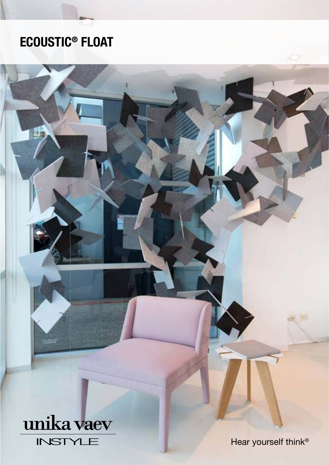# ECOUSTIC® FLOAT

## unika vaev **INSTYLE**

Hear yourself think®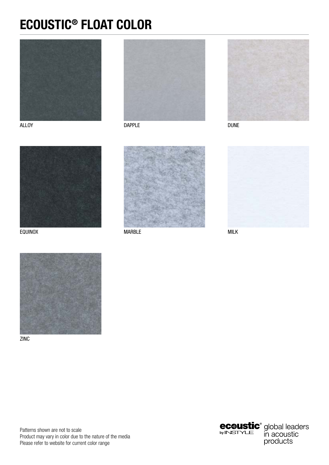#### ECOUSTIC® FLOAT COLOR









EQUINOX MARBLE MILK







ZINC

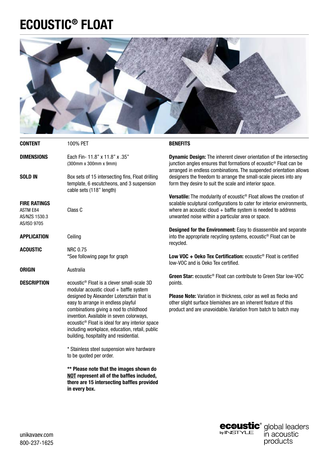#### ECOUSTIC® FLOAT



| <b>CONTENT</b>                                                         | 100% PET                                                                                                                                                                                                                                                                                                                         | <b>BENEFITS</b>                                                                                                                                                                                                                                                                  |
|------------------------------------------------------------------------|----------------------------------------------------------------------------------------------------------------------------------------------------------------------------------------------------------------------------------------------------------------------------------------------------------------------------------|----------------------------------------------------------------------------------------------------------------------------------------------------------------------------------------------------------------------------------------------------------------------------------|
| <b>DIMENSIONS</b>                                                      | Each Fin- 11.8" x 11.8" x .35"<br>(300mm x 300mm x 9mm)                                                                                                                                                                                                                                                                          | <b>Dynamic Design:</b> The inherent clever orientation of the intersecting<br>junction angles ensures that formations of ecoustic <sup>®</sup> Float can be<br>arranged in endless combinations. The suspended orientation allows                                                |
| <b>SOLD IN</b>                                                         | Box sets of 15 intersecting fins, Float drilling<br>template, 6 escutcheons, and 3 suspension<br>cable sets (118" length)                                                                                                                                                                                                        | designers the freedom to arrange the small-scale pieces into any<br>form they desire to suit the scale and interior space.                                                                                                                                                       |
| <b>FIRE RATINGS</b><br><b>ASTM E84</b><br>AS/NZS 1530.3<br>AS/ISO 9705 | Class C                                                                                                                                                                                                                                                                                                                          | Versatile: The modularity of ecoustic <sup>®</sup> Float allows the creation of<br>scalable sculptural configurations to cater for interior environments,<br>where an acoustic cloud $+$ baffle system is needed to address<br>unwanted noise within a particular area or space. |
| <b>APPLICATION</b>                                                     | Ceiling                                                                                                                                                                                                                                                                                                                          | Designed for the Environment: Easy to disassemble and separate<br>into the appropriate recycling systems, ecoustic <sup>®</sup> Float can be<br>recycled.                                                                                                                        |
| <b>ACOUSTIC</b>                                                        | <b>NRC 0.75</b><br>*See following page for graph                                                                                                                                                                                                                                                                                 | Low VOC $+$ Oeko Tex Certification: ecoustic <sup>®</sup> Float is certified<br>low-VOC and is Oeko Tex certified.                                                                                                                                                               |
| <b>ORIGIN</b>                                                          | Australia                                                                                                                                                                                                                                                                                                                        |                                                                                                                                                                                                                                                                                  |
| <b>DESCRIPTION</b>                                                     | ecoustic <sup>®</sup> Float is a clever small-scale 3D<br>modular acoustic cloud $+$ baffle system                                                                                                                                                                                                                               | Green Star: ecoustic <sup>®</sup> Float can contribute to Green Star low-VOC<br>points.                                                                                                                                                                                          |
|                                                                        | designed by Alexander Lotersztain that is<br>easy to arrange in endless playful<br>combinations giving a nod to childhood<br>invention. Available in seven colorways,<br>ecoustic <sup>®</sup> Float is ideal for any interior space<br>including workplace, education, retail, public<br>building, hospitality and residential. | <b>Please Note:</b> Variation in thickness, color as well as flecks and<br>other slight surface blemishes are an inherent feature of this<br>product and are unavoidable. Variation from batch to batch may                                                                      |
|                                                                        | * Stainless steel suspension wire hardware<br>to be quoted per order.                                                                                                                                                                                                                                                            |                                                                                                                                                                                                                                                                                  |
|                                                                        | ** Please note that the images shown do<br>NOT represent all of the baffles included,<br>there are 15 intersecting baffles provided<br>in every box.                                                                                                                                                                             |                                                                                                                                                                                                                                                                                  |

**ecoustic**<sup>®</sup> global leaders products